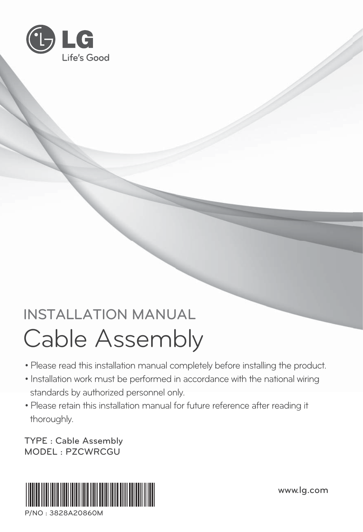

### **INSTALLATION MANUAL INSTALLATION MANUAL** Cable Assembly

- Please read this installation manual completely before installing the product.
- Installation work must be performed in accordance with the national wiring standards by authorized personnel only.
- Please retain this installation manual for future reference after reading it thoroughly.

**TYPE : Cable Assembly**



**P/NO : 3828A20860M**

**www.lg.com**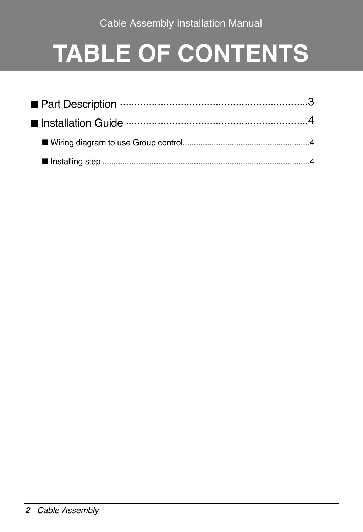# **TABLE OF CONTENTS**

| ■ Part Description ………………………………………………………………………3 |  |
|-------------------------------------------------|--|
|                                                 |  |
|                                                 |  |
|                                                 |  |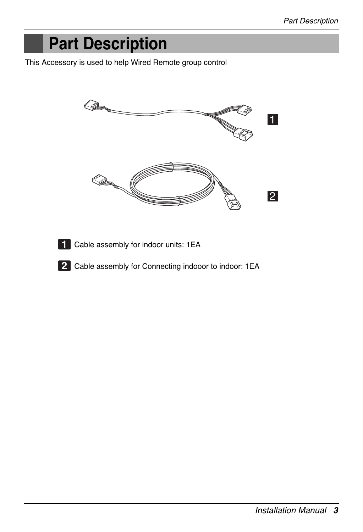## **Part Description**

This Accessory is used to help Wired Remote group control



- Cable assembly for indoor units: 1EA **1**
- Cable assembly for Connecting indooor to indoor: 1EA **2**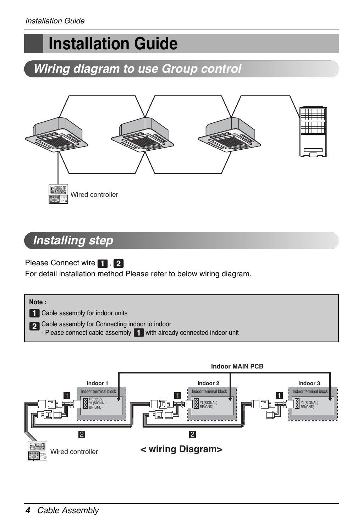## **Installation Guide**

### *Wiring diagram to use Group control*



#### *Installing step*

**Please Connect wire 1, 2** 

For detail installation method Please refer to below wiring diagram.





Wired controller